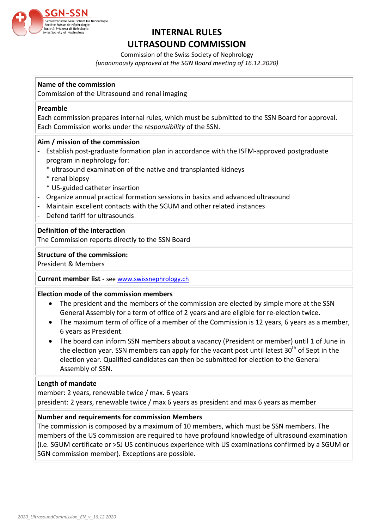

# **INTERNAL RULES ULTRASOUND COMMISSION**

Commission of the Swiss Society of Nephrology *(unanimously approved at the SGN Board meeting of 16.12.2020)*

# **Name of the commission**

Commission of the Ultrasound and renal imaging

#### **Preamble**

Each commission prepares internal rules, which must be submitted to the SSN Board for approval. Each Commission works under the *responsibility* of the SSN.

# **Aim / mission of the commission**

- Establish post-graduate formation plan in accordance with the ISFM-approved postgraduate program in nephrology for:
	- \* ultrasound examination of the native and transplanted kidneys
	- \* renal biopsy
	- \* US-guided catheter insertion
- Organize annual practical formation sessions in basics and advanced ultrasound
- Maintain excellent contacts with the SGUM and other related instances
- Defend tariff for ultrasounds

# **Definition of the interaction**

The Commission reports directly to the SSN Board

# **Structure of the commission:**

President & Members

#### **Current member list -** see [www.swissnephrology.ch](http://www.swissnephrology.ch/)

#### **Election mode of the commission members**

- The president and the members of the commission are elected by simple more at the SSN General Assembly for a term of office of 2 years and are eligible for re-election twice.
- The maximum term of office of a member of the Commission is 12 years, 6 years as a member, 6 years as President.
- The board can inform SSN members about a vacancy (President or member) until 1 of June in the election year. SSN members can apply for the vacant post until latest  $30<sup>th</sup>$  of Sept in the election year. Qualified candidates can then be submitted for election to the General Assembly of SSN.

#### **Length of mandate**

member: 2 years, renewable twice / max. 6 years president: 2 years, renewable twice / max 6 years as president and max 6 years as member

#### **Number and requirements for commission Members**

The commission is composed by a maximum of 10 members, which must be SSN members. The members of the US commission are required to have profound knowledge of ultrasound examination (i.e. SGUM certificate or >5J US continuous experience with US examinations confirmed by a SGUM or SGN commission member). Exceptions are possible.